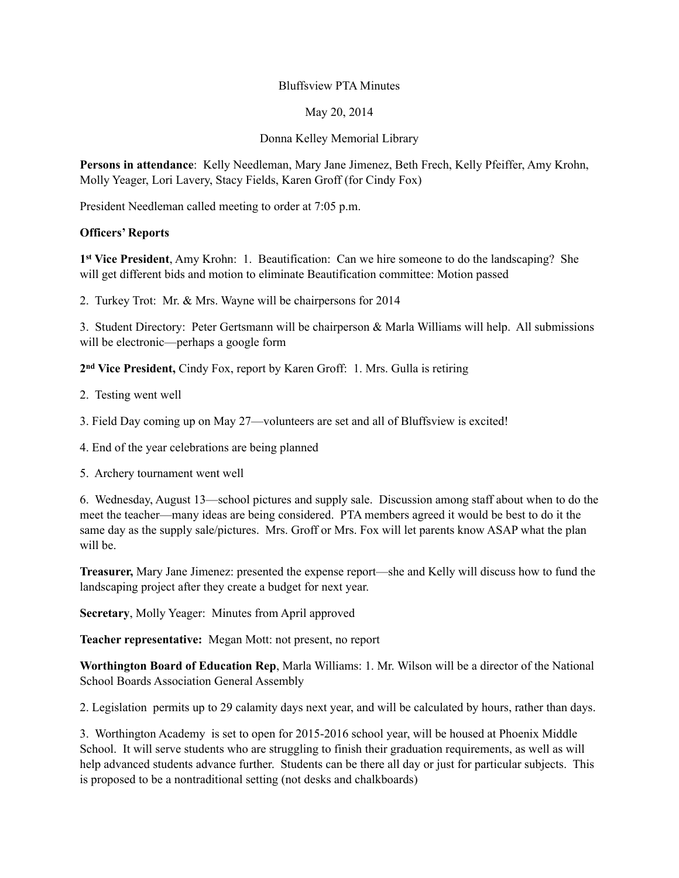### Bluffsview PTA Minutes

### May 20, 2014

# Donna Kelley Memorial Library

**Persons in attendance**: Kelly Needleman, Mary Jane Jimenez, Beth Frech, Kelly Pfeiffer, Amy Krohn, Molly Yeager, Lori Lavery, Stacy Fields, Karen Groff (for Cindy Fox)

President Needleman called meeting to order at 7:05 p.m.

#### **Officers' Reports**

**1st Vice President**, Amy Krohn: 1. Beautification: Can we hire someone to do the landscaping? She will get different bids and motion to eliminate Beautification committee: Motion passed

2. Turkey Trot: Mr. & Mrs. Wayne will be chairpersons for 2014

3. Student Directory: Peter Gertsmann will be chairperson & Marla Williams will help. All submissions will be electronic—perhaps a google form

**2nd Vice President,** Cindy Fox, report by Karen Groff: 1. Mrs. Gulla is retiring

- 2. Testing went well
- 3. Field Day coming up on May 27—volunteers are set and all of Bluffsview is excited!
- 4. End of the year celebrations are being planned
- 5. Archery tournament went well

6. Wednesday, August 13—school pictures and supply sale. Discussion among staff about when to do the meet the teacher—many ideas are being considered. PTA members agreed it would be best to do it the same day as the supply sale/pictures. Mrs. Groff or Mrs. Fox will let parents know ASAP what the plan will be

**Treasurer,** Mary Jane Jimenez: presented the expense report—she and Kelly will discuss how to fund the landscaping project after they create a budget for next year.

**Secretary**, Molly Yeager: Minutes from April approved

**Teacher representative:** Megan Mott: not present, no report

**Worthington Board of Education Rep**, Marla Williams: 1. Mr. Wilson will be a director of the National School Boards Association General Assembly

2. Legislation permits up to 29 calamity days next year, and will be calculated by hours, rather than days.

3. Worthington Academy is set to open for 2015-2016 school year, will be housed at Phoenix Middle School. It will serve students who are struggling to finish their graduation requirements, as well as will help advanced students advance further. Students can be there all day or just for particular subjects. This is proposed to be a nontraditional setting (not desks and chalkboards)